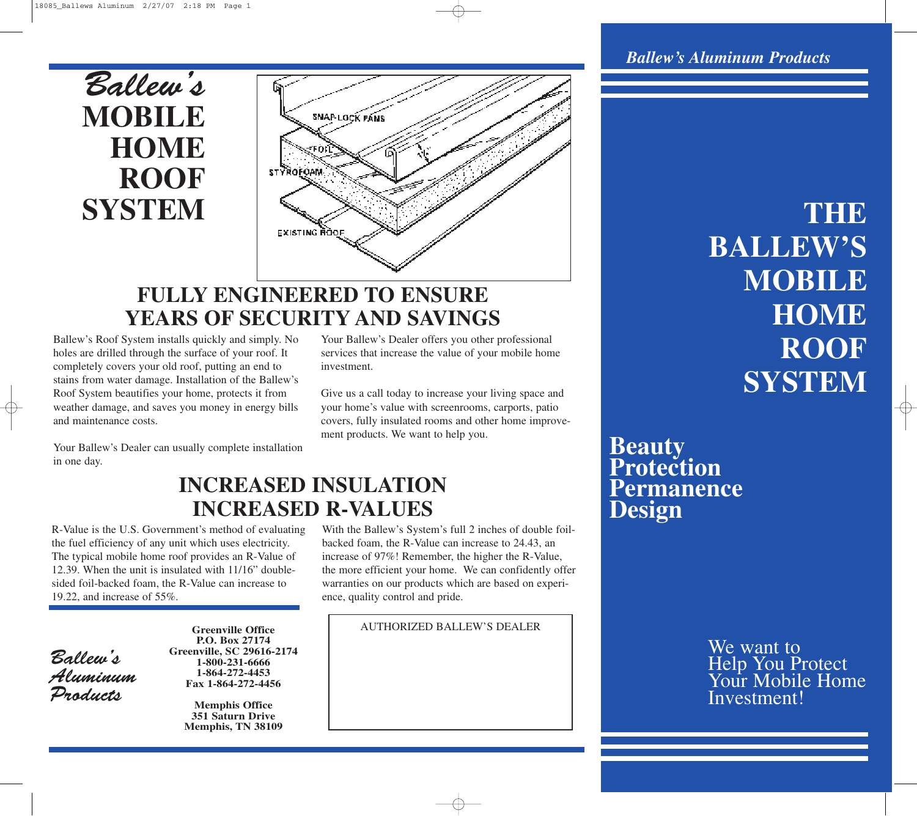## Ballew's **MOBILE HOME ROOF SYSTEM**



## **FULLY ENGINEERED TO ENSURE YEARS OF SECURITY AND SAVINGS**

**INCREASED R-VALUES**

Ballew's Roof System installs quickly and simply. No holes are drilled through the surface of your roof. It completely covers your old roof, putting an end to stains from water damage. Installation of the Ballew's Roof System beautifies your home, protects it from weather damage, and saves you money in energy bills and maintenance costs.

Your Ballew's Dealer offers you other professional services that increase the value of your mobile home investment.

Give us a call today to increase your living space and your home's value with screenrooms, carports, patio covers, fully insulated rooms and other home improvement products. We want to help you.

Your Ballew's Dealer can usually complete installation in one day.

**INCREASED INSULATION**

R-Value is the U.S. Government's method of evaluating the fuel efficiency of any unit which uses electricity. The typical mobile home roof provides an R-Value of 12.39. When the unit is insulated with 11/16" doublesided foil-backed foam, the R-Value can increase to 19.22, and increase of 55%.

Ballew's Aluminum Products

**Greenville Office P.O. Box 27174 Greenville, SC 29616-2174 1-800-231-6666 1-864-272-4453 Fax 1-864-272-4456**

> **Memphis Office 351 Saturn Drive Memphis, TN 38109**

With the Ballew's System's full 2 inches of double foilbacked foam, the R-Value can increase to 24.43, an increase of 97%! Remember, the higher the R-Value, the more efficient your home. We can confidently offer warranties on our products which are based on experience, quality control and pride.

AUTHORIZED BALLEW'S DEALER

### *Ballew's Aluminum Products*

**THE BALLEW'S MOBILE HOME ROOF SYSTEM**

### **Beauty Protection Permanence Design**

We want to Help You Protect Your Mobile Home Investment!